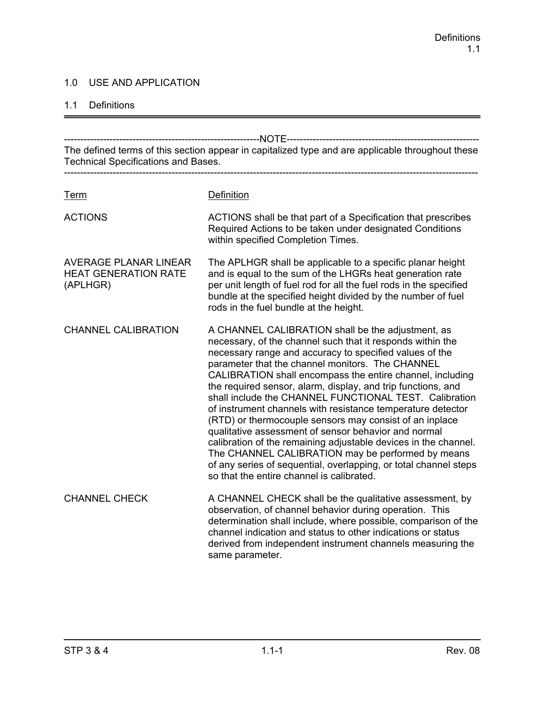## 1.0 USE AND APPLICATION

#### 1.1 Definitions

------------------------------------------------------------NOTE----------------------------------------------------------- The defined terms of this section appear in capitalized type and are applicable throughout these Technical Specifications and Bases. ------------------------------------------------------------------------------------------------------------------------------- Term Definition ACTIONS ACTIONS shall be that part of a Specification that prescribes Required Actions to be taken under designated Conditions within specified Completion Times. AVERAGE PLANAR LINEAR The APLHGR shall be applicable to a specific planar height HEAT GENERATION RATE and is equal to the sum of the LHGRs heat generation rate (APLHGR) per unit length of fuel rod for all the fuel rods in the specified bundle at the specified height divided by the number of fuel rods in the fuel bundle at the height. CHANNEL CALIBRATION A CHANNEL CALIBRATION shall be the adjustment, as necessary, of the channel such that it responds within the necessary range and accuracy to specified values of the parameter that the channel monitors. The CHANNEL CALIBRATION shall encompass the entire channel, including the required sensor, alarm, display, and trip functions, and shall include the CHANNEL FUNCTIONAL TEST. Calibration of instrument channels with resistance temperature detector (RTD) or thermocouple sensors may consist of an inplace qualitative assessment of sensor behavior and normal calibration of the remaining adjustable devices in the channel. The CHANNEL CALIBRATION may be performed by means of any series of sequential, overlapping, or total channel steps so that the entire channel is calibrated. CHANNEL CHECK A CHANNEL CHECK shall be the qualitative assessment, by observation, of channel behavior during operation. This determination shall include, where possible, comparison of the channel indication and status to other indications or status derived from independent instrument channels measuring the same parameter.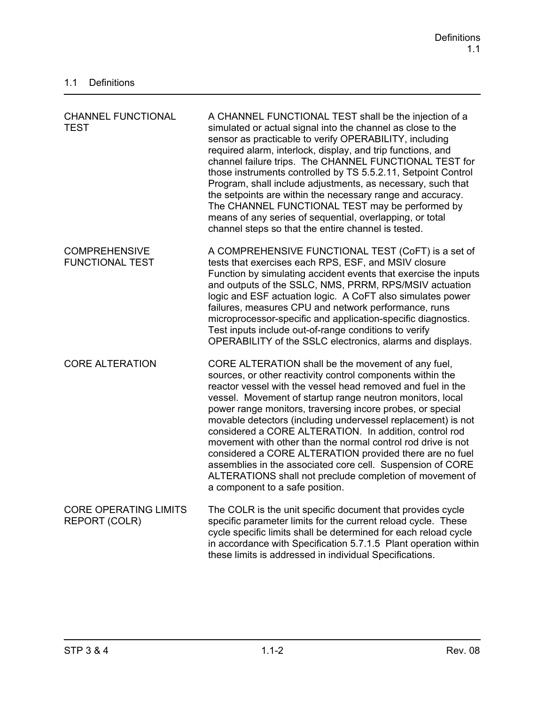| <b>CHANNEL FUNCTIONAL</b><br><b>TEST</b>       | A CHANNEL FUNCTIONAL TEST shall be the injection of a<br>simulated or actual signal into the channel as close to the<br>sensor as practicable to verify OPERABILITY, including<br>required alarm, interlock, display, and trip functions, and<br>channel failure trips. The CHANNEL FUNCTIONAL TEST for<br>those instruments controlled by TS 5.5.2.11, Setpoint Control<br>Program, shall include adjustments, as necessary, such that<br>the setpoints are within the necessary range and accuracy.<br>The CHANNEL FUNCTIONAL TEST may be performed by<br>means of any series of sequential, overlapping, or total<br>channel steps so that the entire channel is tested.                                                  |
|------------------------------------------------|------------------------------------------------------------------------------------------------------------------------------------------------------------------------------------------------------------------------------------------------------------------------------------------------------------------------------------------------------------------------------------------------------------------------------------------------------------------------------------------------------------------------------------------------------------------------------------------------------------------------------------------------------------------------------------------------------------------------------|
| <b>COMPREHENSIVE</b><br><b>FUNCTIONAL TEST</b> | A COMPREHENSIVE FUNCTIONAL TEST (CoFT) is a set of<br>tests that exercises each RPS, ESF, and MSIV closure<br>Function by simulating accident events that exercise the inputs<br>and outputs of the SSLC, NMS, PRRM, RPS/MSIV actuation<br>logic and ESF actuation logic. A CoFT also simulates power<br>failures, measures CPU and network performance, runs<br>microprocessor-specific and application-specific diagnostics.<br>Test inputs include out-of-range conditions to verify<br>OPERABILITY of the SSLC electronics, alarms and displays.                                                                                                                                                                         |
| <b>CORE ALTERATION</b>                         | CORE ALTERATION shall be the movement of any fuel,<br>sources, or other reactivity control components within the<br>reactor vessel with the vessel head removed and fuel in the<br>vessel. Movement of startup range neutron monitors, local<br>power range monitors, traversing incore probes, or special<br>movable detectors (including undervessel replacement) is not<br>considered a CORE ALTERATION. In addition, control rod<br>movement with other than the normal control rod drive is not<br>considered a CORE ALTERATION provided there are no fuel<br>assemblies in the associated core cell. Suspension of CORE<br>ALTERATIONS shall not preclude completion of movement of<br>a component to a safe position. |
| <b>CORE OPERATING LIMITS</b><br>REPORT (COLR)  | The COLR is the unit specific document that provides cycle<br>specific parameter limits for the current reload cycle. These<br>cycle specific limits shall be determined for each reload cycle<br>in accordance with Specification 5.7.1.5 Plant operation within<br>these limits is addressed in individual Specifications.                                                                                                                                                                                                                                                                                                                                                                                                 |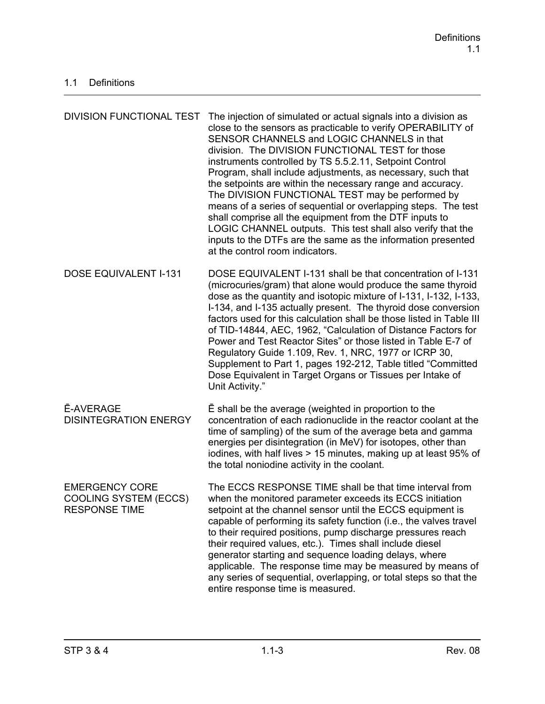| <b>DIVISION FUNCTIONAL TEST</b>                                               | The injection of simulated or actual signals into a division as<br>close to the sensors as practicable to verify OPERABILITY of<br>SENSOR CHANNELS and LOGIC CHANNELS in that<br>division. The DIVISION FUNCTIONAL TEST for those<br>instruments controlled by TS 5.5.2.11, Setpoint Control<br>Program, shall include adjustments, as necessary, such that<br>the setpoints are within the necessary range and accuracy.<br>The DIVISION FUNCTIONAL TEST may be performed by<br>means of a series of sequential or overlapping steps. The test<br>shall comprise all the equipment from the DTF inputs to<br>LOGIC CHANNEL outputs. This test shall also verify that the<br>inputs to the DTFs are the same as the information presented<br>at the control room indicators. |
|-------------------------------------------------------------------------------|------------------------------------------------------------------------------------------------------------------------------------------------------------------------------------------------------------------------------------------------------------------------------------------------------------------------------------------------------------------------------------------------------------------------------------------------------------------------------------------------------------------------------------------------------------------------------------------------------------------------------------------------------------------------------------------------------------------------------------------------------------------------------|
| <b>DOSE EQUIVALENT I-131</b>                                                  | DOSE EQUIVALENT I-131 shall be that concentration of I-131<br>(microcuries/gram) that alone would produce the same thyroid<br>dose as the quantity and isotopic mixture of I-131, I-132, I-133,<br>I-134, and I-135 actually present. The thyroid dose conversion<br>factors used for this calculation shall be those listed in Table III<br>of TID-14844, AEC, 1962, "Calculation of Distance Factors for<br>Power and Test Reactor Sites" or those listed in Table E-7 of<br>Regulatory Guide 1.109, Rev. 1, NRC, 1977 or ICRP 30,<br>Supplement to Part 1, pages 192-212, Table titled "Committed"<br>Dose Equivalent in Target Organs or Tissues per Intake of<br>Unit Activity."                                                                                        |
| <b>Ē-AVERAGE</b><br><b>DISINTEGRATION ENERGY</b>                              | E shall be the average (weighted in proportion to the<br>concentration of each radionuclide in the reactor coolant at the<br>time of sampling) of the sum of the average beta and gamma<br>energies per disintegration (in MeV) for isotopes, other than<br>iodines, with half lives > 15 minutes, making up at least 95% of<br>the total noniodine activity in the coolant.                                                                                                                                                                                                                                                                                                                                                                                                 |
| <b>EMERGENCY CORE</b><br><b>COOLING SYSTEM (ECCS)</b><br><b>RESPONSE TIME</b> | The ECCS RESPONSE TIME shall be that time interval from<br>when the monitored parameter exceeds its ECCS initiation<br>setpoint at the channel sensor until the ECCS equipment is<br>capable of performing its safety function (i.e., the valves travel<br>to their required positions, pump discharge pressures reach<br>their required values, etc.). Times shall include diesel<br>generator starting and sequence loading delays, where<br>applicable. The response time may be measured by means of<br>any series of sequential, overlapping, or total steps so that the<br>entire response time is measured.                                                                                                                                                           |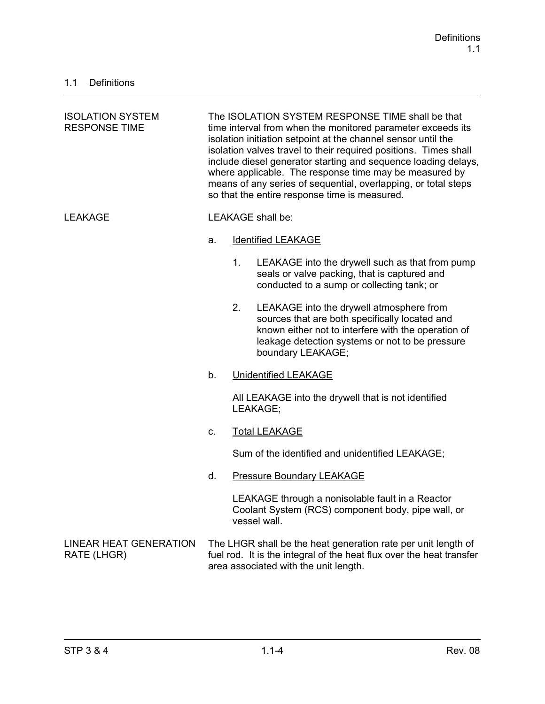| <b>ISOLATION SYSTEM</b><br><b>RESPONSE TIME</b> | The ISOLATION SYSTEM RESPONSE TIME shall be that<br>time interval from when the monitored parameter exceeds its<br>isolation initiation setpoint at the channel sensor until the<br>isolation valves travel to their required positions. Times shall<br>include diesel generator starting and sequence loading delays,<br>where applicable. The response time may be measured by<br>means of any series of sequential, overlapping, or total steps<br>so that the entire response time is measured. |         |                                                                                                                                                                                                                           |
|-------------------------------------------------|-----------------------------------------------------------------------------------------------------------------------------------------------------------------------------------------------------------------------------------------------------------------------------------------------------------------------------------------------------------------------------------------------------------------------------------------------------------------------------------------------------|---------|---------------------------------------------------------------------------------------------------------------------------------------------------------------------------------------------------------------------------|
| <b>LEAKAGE</b>                                  |                                                                                                                                                                                                                                                                                                                                                                                                                                                                                                     |         | LEAKAGE shall be:                                                                                                                                                                                                         |
|                                                 | a.                                                                                                                                                                                                                                                                                                                                                                                                                                                                                                  |         | <b>Identified LEAKAGE</b>                                                                                                                                                                                                 |
|                                                 |                                                                                                                                                                                                                                                                                                                                                                                                                                                                                                     | $1_{-}$ | LEAKAGE into the drywell such as that from pump<br>seals or valve packing, that is captured and<br>conducted to a sump or collecting tank; or                                                                             |
|                                                 |                                                                                                                                                                                                                                                                                                                                                                                                                                                                                                     | 2.      | LEAKAGE into the drywell atmosphere from<br>sources that are both specifically located and<br>known either not to interfere with the operation of<br>leakage detection systems or not to be pressure<br>boundary LEAKAGE; |
|                                                 | b.                                                                                                                                                                                                                                                                                                                                                                                                                                                                                                  |         | <b>Unidentified LEAKAGE</b>                                                                                                                                                                                               |
|                                                 |                                                                                                                                                                                                                                                                                                                                                                                                                                                                                                     |         | All LEAKAGE into the drywell that is not identified<br>LEAKAGE;                                                                                                                                                           |
|                                                 | C.                                                                                                                                                                                                                                                                                                                                                                                                                                                                                                  |         | <b>Total LEAKAGE</b>                                                                                                                                                                                                      |
|                                                 |                                                                                                                                                                                                                                                                                                                                                                                                                                                                                                     |         | Sum of the identified and unidentified LEAKAGE;                                                                                                                                                                           |
|                                                 | d.                                                                                                                                                                                                                                                                                                                                                                                                                                                                                                  |         | <b>Pressure Boundary LEAKAGE</b>                                                                                                                                                                                          |
|                                                 |                                                                                                                                                                                                                                                                                                                                                                                                                                                                                                     |         | LEAKAGE through a nonisolable fault in a Reactor<br>Coolant System (RCS) component body, pipe wall, or<br>vessel wall.                                                                                                    |
| <b>LINEAR HEAT GENERATION</b><br>RATE (LHGR)    |                                                                                                                                                                                                                                                                                                                                                                                                                                                                                                     |         | The LHGR shall be the heat generation rate per unit length of<br>fuel rod. It is the integral of the heat flux over the heat transfer<br>area associated with the unit length.                                            |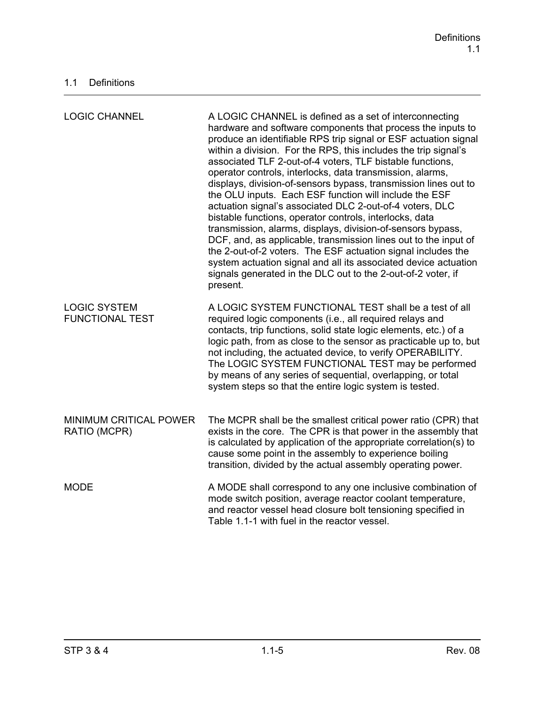| <b>LOGIC CHANNEL</b>                          | A LOGIC CHANNEL is defined as a set of interconnecting<br>hardware and software components that process the inputs to<br>produce an identifiable RPS trip signal or ESF actuation signal<br>within a division. For the RPS, this includes the trip signal's<br>associated TLF 2-out-of-4 voters, TLF bistable functions,<br>operator controls, interlocks, data transmission, alarms,<br>displays, division-of-sensors bypass, transmission lines out to<br>the OLU inputs. Each ESF function will include the ESF<br>actuation signal's associated DLC 2-out-of-4 voters, DLC<br>bistable functions, operator controls, interlocks, data<br>transmission, alarms, displays, division-of-sensors bypass,<br>DCF, and, as applicable, transmission lines out to the input of<br>the 2-out-of-2 voters. The ESF actuation signal includes the<br>system actuation signal and all its associated device actuation<br>signals generated in the DLC out to the 2-out-of-2 voter, if<br>present. |
|-----------------------------------------------|--------------------------------------------------------------------------------------------------------------------------------------------------------------------------------------------------------------------------------------------------------------------------------------------------------------------------------------------------------------------------------------------------------------------------------------------------------------------------------------------------------------------------------------------------------------------------------------------------------------------------------------------------------------------------------------------------------------------------------------------------------------------------------------------------------------------------------------------------------------------------------------------------------------------------------------------------------------------------------------------|
| <b>LOGIC SYSTEM</b><br><b>FUNCTIONAL TEST</b> | A LOGIC SYSTEM FUNCTIONAL TEST shall be a test of all<br>required logic components (i.e., all required relays and<br>contacts, trip functions, solid state logic elements, etc.) of a<br>logic path, from as close to the sensor as practicable up to, but<br>not including, the actuated device, to verify OPERABILITY.<br>The LOGIC SYSTEM FUNCTIONAL TEST may be performed<br>by means of any series of sequential, overlapping, or total<br>system steps so that the entire logic system is tested.                                                                                                                                                                                                                                                                                                                                                                                                                                                                                    |
| <b>MINIMUM CRITICAL POWER</b><br>RATIO (MCPR) | The MCPR shall be the smallest critical power ratio (CPR) that<br>exists in the core. The CPR is that power in the assembly that<br>is calculated by application of the appropriate correlation(s) to<br>cause some point in the assembly to experience boiling<br>transition, divided by the actual assembly operating power.                                                                                                                                                                                                                                                                                                                                                                                                                                                                                                                                                                                                                                                             |
| <b>MODE</b>                                   | A MODE shall correspond to any one inclusive combination of<br>mode switch position, average reactor coolant temperature,<br>and reactor vessel head closure bolt tensioning specified in<br>Table 1.1-1 with fuel in the reactor vessel.                                                                                                                                                                                                                                                                                                                                                                                                                                                                                                                                                                                                                                                                                                                                                  |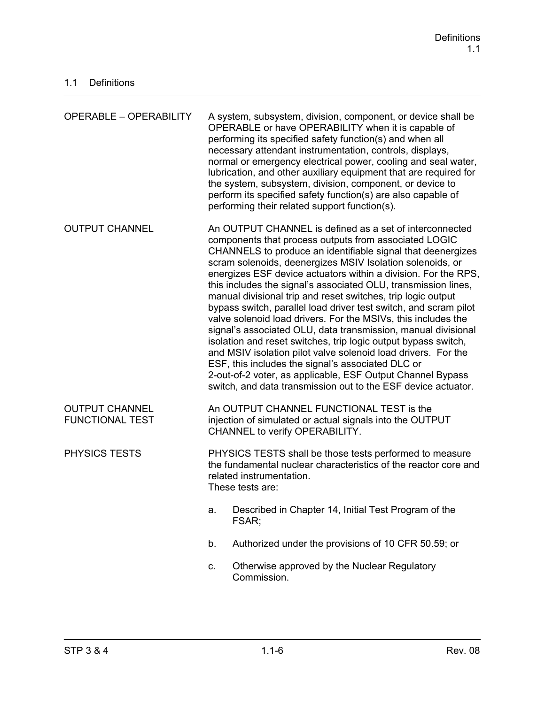| <b>OPERABLE - OPERABILITY</b>                   |                                                                                                                                                                                                                                                                                                                                                                                                                                                                                                                                                                                                                                                                                                                                                                                                                                                                                                                                                                               | A system, subsystem, division, component, or device shall be<br>OPERABLE or have OPERABILITY when it is capable of<br>performing its specified safety function(s) and when all<br>necessary attendant instrumentation, controls, displays,<br>normal or emergency electrical power, cooling and seal water,<br>lubrication, and other auxiliary equipment that are required for<br>the system, subsystem, division, component, or device to<br>perform its specified safety function(s) are also capable of<br>performing their related support function(s). |
|-------------------------------------------------|-------------------------------------------------------------------------------------------------------------------------------------------------------------------------------------------------------------------------------------------------------------------------------------------------------------------------------------------------------------------------------------------------------------------------------------------------------------------------------------------------------------------------------------------------------------------------------------------------------------------------------------------------------------------------------------------------------------------------------------------------------------------------------------------------------------------------------------------------------------------------------------------------------------------------------------------------------------------------------|--------------------------------------------------------------------------------------------------------------------------------------------------------------------------------------------------------------------------------------------------------------------------------------------------------------------------------------------------------------------------------------------------------------------------------------------------------------------------------------------------------------------------------------------------------------|
| <b>OUTPUT CHANNEL</b>                           | An OUTPUT CHANNEL is defined as a set of interconnected<br>components that process outputs from associated LOGIC<br>CHANNELS to produce an identifiable signal that deenergizes<br>scram solenoids, deenergizes MSIV Isolation solenoids, or<br>energizes ESF device actuators within a division. For the RPS,<br>this includes the signal's associated OLU, transmission lines,<br>manual divisional trip and reset switches, trip logic output<br>bypass switch, parallel load driver test switch, and scram pilot<br>valve solenoid load drivers. For the MSIVs, this includes the<br>signal's associated OLU, data transmission, manual divisional<br>isolation and reset switches, trip logic output bypass switch,<br>and MSIV isolation pilot valve solenoid load drivers. For the<br>ESF, this includes the signal's associated DLC or<br>2-out-of-2 voter, as applicable, ESF Output Channel Bypass<br>switch, and data transmission out to the ESF device actuator. |                                                                                                                                                                                                                                                                                                                                                                                                                                                                                                                                                              |
| <b>OUTPUT CHANNEL</b><br><b>FUNCTIONAL TEST</b> |                                                                                                                                                                                                                                                                                                                                                                                                                                                                                                                                                                                                                                                                                                                                                                                                                                                                                                                                                                               | An OUTPUT CHANNEL FUNCTIONAL TEST is the<br>injection of simulated or actual signals into the OUTPUT<br>CHANNEL to verify OPERABILITY.                                                                                                                                                                                                                                                                                                                                                                                                                       |
| PHYSICS TESTS                                   | PHYSICS TESTS shall be those tests performed to measure<br>the fundamental nuclear characteristics of the reactor core and<br>related instrumentation.<br>These tests are:                                                                                                                                                                                                                                                                                                                                                                                                                                                                                                                                                                                                                                                                                                                                                                                                    |                                                                                                                                                                                                                                                                                                                                                                                                                                                                                                                                                              |
|                                                 | a.                                                                                                                                                                                                                                                                                                                                                                                                                                                                                                                                                                                                                                                                                                                                                                                                                                                                                                                                                                            | Described in Chapter 14, Initial Test Program of the<br>FSAR;                                                                                                                                                                                                                                                                                                                                                                                                                                                                                                |
|                                                 | b.                                                                                                                                                                                                                                                                                                                                                                                                                                                                                                                                                                                                                                                                                                                                                                                                                                                                                                                                                                            | Authorized under the provisions of 10 CFR 50.59; or                                                                                                                                                                                                                                                                                                                                                                                                                                                                                                          |
|                                                 | C.                                                                                                                                                                                                                                                                                                                                                                                                                                                                                                                                                                                                                                                                                                                                                                                                                                                                                                                                                                            | Otherwise approved by the Nuclear Regulatory<br>Commission.                                                                                                                                                                                                                                                                                                                                                                                                                                                                                                  |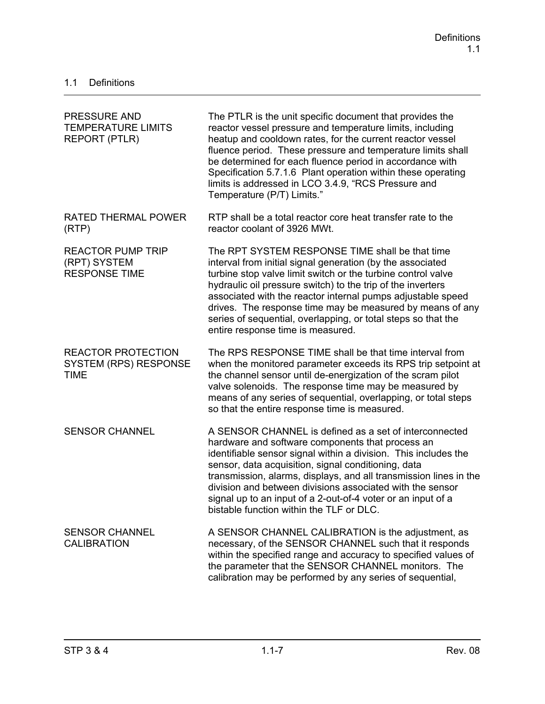| <b>PRESSURE AND</b><br><b>TEMPERATURE LIMITS</b><br><b>REPORT (PTLR)</b> | The PTLR is the unit specific document that provides the<br>reactor vessel pressure and temperature limits, including<br>heatup and cooldown rates, for the current reactor vessel<br>fluence period. These pressure and temperature limits shall<br>be determined for each fluence period in accordance with<br>Specification 5.7.1.6 Plant operation within these operating<br>limits is addressed in LCO 3.4.9, "RCS Pressure and<br>Temperature (P/T) Limits."                 |
|--------------------------------------------------------------------------|------------------------------------------------------------------------------------------------------------------------------------------------------------------------------------------------------------------------------------------------------------------------------------------------------------------------------------------------------------------------------------------------------------------------------------------------------------------------------------|
| <b>RATED THERMAL POWER</b><br>(RTP)                                      | RTP shall be a total reactor core heat transfer rate to the<br>reactor coolant of 3926 MWt.                                                                                                                                                                                                                                                                                                                                                                                        |
| <b>REACTOR PUMP TRIP</b><br>(RPT) SYSTEM<br><b>RESPONSE TIME</b>         | The RPT SYSTEM RESPONSE TIME shall be that time<br>interval from initial signal generation (by the associated<br>turbine stop valve limit switch or the turbine control valve<br>hydraulic oil pressure switch) to the trip of the inverters<br>associated with the reactor internal pumps adjustable speed<br>drives. The response time may be measured by means of any<br>series of sequential, overlapping, or total steps so that the<br>entire response time is measured.     |
| <b>REACTOR PROTECTION</b><br><b>SYSTEM (RPS) RESPONSE</b><br><b>TIME</b> | The RPS RESPONSE TIME shall be that time interval from<br>when the monitored parameter exceeds its RPS trip setpoint at<br>the channel sensor until de-energization of the scram pilot<br>valve solenoids. The response time may be measured by<br>means of any series of sequential, overlapping, or total steps<br>so that the entire response time is measured.                                                                                                                 |
| <b>SENSOR CHANNEL</b>                                                    | A SENSOR CHANNEL is defined as a set of interconnected<br>hardware and software components that process an<br>identifiable sensor signal within a division. This includes the<br>sensor, data acquisition, signal conditioning, data<br>transmission, alarms, displays, and all transmission lines in the<br>division and between divisions associated with the sensor<br>signal up to an input of a 2-out-of-4 voter or an input of a<br>bistable function within the TLF or DLC. |
| <b>SENSOR CHANNEL</b><br><b>CALIBRATION</b>                              | A SENSOR CHANNEL CALIBRATION is the adjustment, as<br>necessary, of the SENSOR CHANNEL such that it responds<br>within the specified range and accuracy to specified values of<br>the parameter that the SENSOR CHANNEL monitors. The<br>calibration may be performed by any series of sequential,                                                                                                                                                                                 |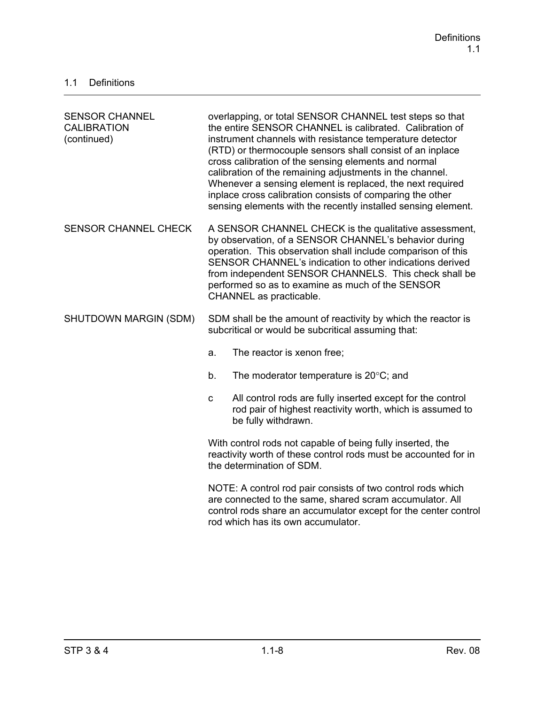| <b>SENSOR CHANNEL</b><br><b>CALIBRATION</b><br>(continued) | overlapping, or total SENSOR CHANNEL test steps so that<br>the entire SENSOR CHANNEL is calibrated. Calibration of<br>instrument channels with resistance temperature detector<br>(RTD) or thermocouple sensors shall consist of an inplace<br>cross calibration of the sensing elements and normal<br>calibration of the remaining adjustments in the channel.<br>Whenever a sensing element is replaced, the next required<br>inplace cross calibration consists of comparing the other<br>sensing elements with the recently installed sensing element. |  |
|------------------------------------------------------------|------------------------------------------------------------------------------------------------------------------------------------------------------------------------------------------------------------------------------------------------------------------------------------------------------------------------------------------------------------------------------------------------------------------------------------------------------------------------------------------------------------------------------------------------------------|--|
| <b>SENSOR CHANNEL CHECK</b>                                | A SENSOR CHANNEL CHECK is the qualitative assessment,<br>by observation, of a SENSOR CHANNEL's behavior during<br>operation. This observation shall include comparison of this<br>SENSOR CHANNEL's indication to other indications derived<br>from independent SENSOR CHANNELS. This check shall be<br>performed so as to examine as much of the SENSOR<br>CHANNEL as practicable.                                                                                                                                                                         |  |
| SHUTDOWN MARGIN (SDM)                                      | SDM shall be the amount of reactivity by which the reactor is<br>subcritical or would be subcritical assuming that:                                                                                                                                                                                                                                                                                                                                                                                                                                        |  |
|                                                            | The reactor is xenon free;<br>a.                                                                                                                                                                                                                                                                                                                                                                                                                                                                                                                           |  |
|                                                            | The moderator temperature is $20^{\circ}$ C; and<br>b.                                                                                                                                                                                                                                                                                                                                                                                                                                                                                                     |  |
|                                                            | All control rods are fully inserted except for the control<br>$\mathbf{C}$<br>rod pair of highest reactivity worth, which is assumed to<br>be fully withdrawn.                                                                                                                                                                                                                                                                                                                                                                                             |  |
|                                                            | With control rods not capable of being fully inserted, the<br>reactivity worth of these control rods must be accounted for in<br>the determination of SDM.                                                                                                                                                                                                                                                                                                                                                                                                 |  |
|                                                            | NOTE: A control rod pair consists of two control rods which<br>are connected to the same, shared scram accumulator. All<br>control rods share an accumulator except for the center control<br>rod which has its own accumulator.                                                                                                                                                                                                                                                                                                                           |  |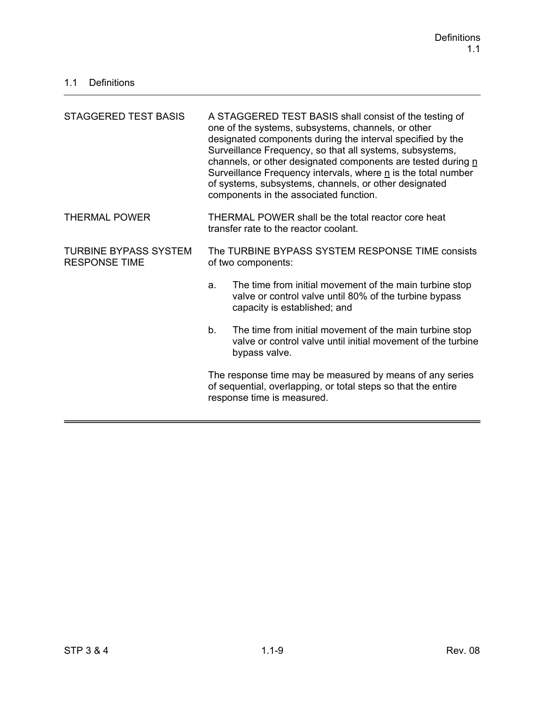| STAGGERED TEST BASIS                                 | A STAGGERED TEST BASIS shall consist of the testing of<br>one of the systems, subsystems, channels, or other<br>designated components during the interval specified by the<br>Surveillance Frequency, so that all systems, subsystems,<br>channels, or other designated components are tested during n<br>Surveillance Frequency intervals, where n is the total number<br>of systems, subsystems, channels, or other designated<br>components in the associated function. |  |
|------------------------------------------------------|----------------------------------------------------------------------------------------------------------------------------------------------------------------------------------------------------------------------------------------------------------------------------------------------------------------------------------------------------------------------------------------------------------------------------------------------------------------------------|--|
| <b>THERMAL POWER</b>                                 | THERMAL POWER shall be the total reactor core heat<br>transfer rate to the reactor coolant.                                                                                                                                                                                                                                                                                                                                                                                |  |
| <b>TURBINE BYPASS SYSTEM</b><br><b>RESPONSE TIME</b> | The TURBINE BYPASS SYSTEM RESPONSE TIME consists<br>of two components:                                                                                                                                                                                                                                                                                                                                                                                                     |  |
|                                                      | The time from initial movement of the main turbine stop<br>a.<br>valve or control valve until 80% of the turbine bypass<br>capacity is established; and                                                                                                                                                                                                                                                                                                                    |  |
|                                                      | The time from initial movement of the main turbine stop<br>b.<br>valve or control valve until initial movement of the turbine<br>bypass valve.                                                                                                                                                                                                                                                                                                                             |  |
|                                                      | The response time may be measured by means of any series<br>of sequential, overlapping, or total steps so that the entire<br>response time is measured.                                                                                                                                                                                                                                                                                                                    |  |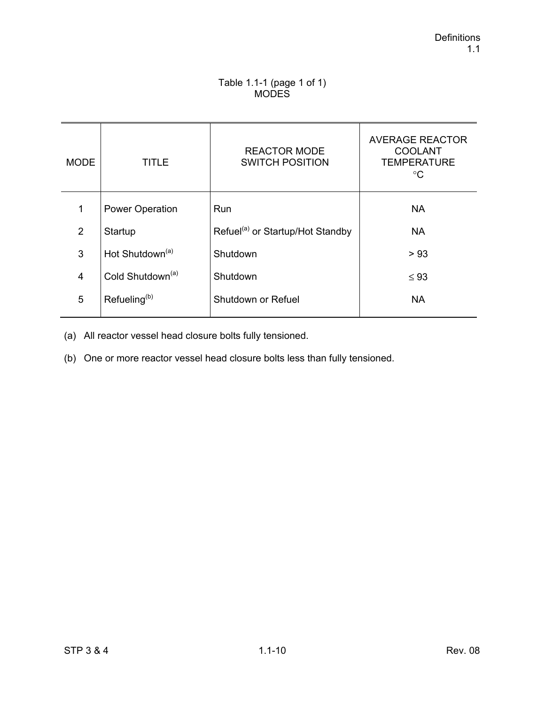## Table 1.1-1 (page 1 of 1) **MODES**

| <b>MODE</b>    | TITLE                        | <b>REACTOR MODE</b><br><b>SWITCH POSITION</b> | <b>AVERAGE REACTOR</b><br><b>COOLANT</b><br><b>TEMPERATURE</b><br>$^{\circ}C$ |
|----------------|------------------------------|-----------------------------------------------|-------------------------------------------------------------------------------|
| 1              | <b>Power Operation</b>       | Run                                           | <b>NA</b>                                                                     |
| 2              | Startup                      | Refuel <sup>(a)</sup> or Startup/Hot Standby  | <b>NA</b>                                                                     |
| 3              | Hot Shutdown <sup>(a)</sup>  | Shutdown                                      | > 93                                                                          |
| $\overline{4}$ | Cold Shutdown <sup>(a)</sup> | Shutdown                                      | $\leq 93$                                                                     |
| 5              | Refueling <sup>(b)</sup>     | Shutdown or Refuel                            | <b>NA</b>                                                                     |

(a) All reactor vessel head closure bolts fully tensioned.

(b) One or more reactor vessel head closure bolts less than fully tensioned.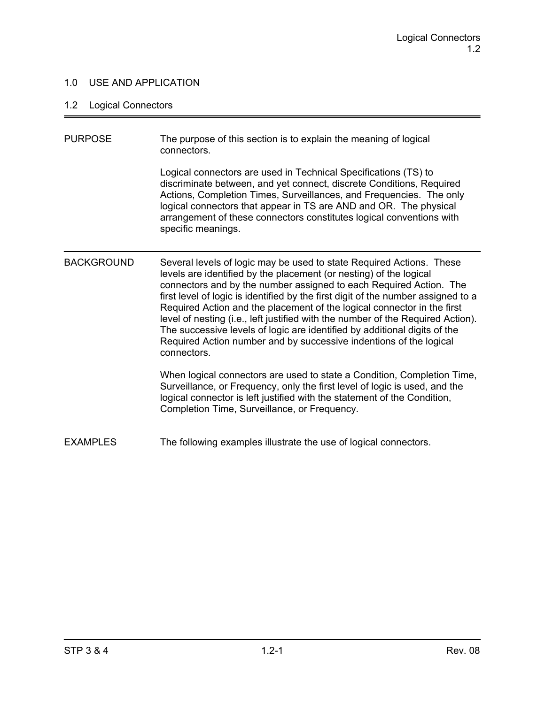## 1.0 USE AND APPLICATION

# 1.2 Logical Connectors

| <b>PURPOSE</b>    | The purpose of this section is to explain the meaning of logical<br>connectors.                                                                                                                                                                                                                                                                                                                                                                                                                                                                                                                                                       |
|-------------------|---------------------------------------------------------------------------------------------------------------------------------------------------------------------------------------------------------------------------------------------------------------------------------------------------------------------------------------------------------------------------------------------------------------------------------------------------------------------------------------------------------------------------------------------------------------------------------------------------------------------------------------|
|                   | Logical connectors are used in Technical Specifications (TS) to<br>discriminate between, and yet connect, discrete Conditions, Required<br>Actions, Completion Times, Surveillances, and Frequencies. The only<br>logical connectors that appear in TS are AND and OR. The physical<br>arrangement of these connectors constitutes logical conventions with<br>specific meanings.                                                                                                                                                                                                                                                     |
| <b>BACKGROUND</b> | Several levels of logic may be used to state Required Actions. These<br>levels are identified by the placement (or nesting) of the logical<br>connectors and by the number assigned to each Required Action. The<br>first level of logic is identified by the first digit of the number assigned to a<br>Required Action and the placement of the logical connector in the first<br>level of nesting (i.e., left justified with the number of the Required Action).<br>The successive levels of logic are identified by additional digits of the<br>Required Action number and by successive indentions of the logical<br>connectors. |
|                   | When logical connectors are used to state a Condition, Completion Time,<br>Surveillance, or Frequency, only the first level of logic is used, and the<br>logical connector is left justified with the statement of the Condition,<br>Completion Time, Surveillance, or Frequency.                                                                                                                                                                                                                                                                                                                                                     |
| <b>EXAMPLES</b>   | The following examples illustrate the use of logical connectors.                                                                                                                                                                                                                                                                                                                                                                                                                                                                                                                                                                      |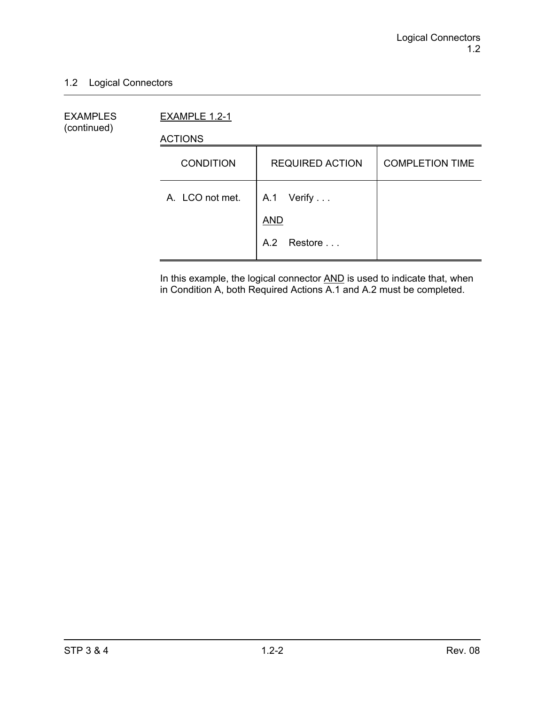## 1.2 Logical Connectors

EXAMPLES EXAMPLE 1.2-1 (continued)

ACTIONS

| <b>CONDITION</b> | <b>REQUIRED ACTION</b>   | <b>COMPLETION TIME</b> |
|------------------|--------------------------|------------------------|
| A. LCO not met.  | A.1 Verify<br><b>AND</b> |                        |
|                  | A.2 Restore              |                        |

In this example, the logical connector **AND** is used to indicate that, when in Condition A, both Required Actions A.1 and A.2 must be completed.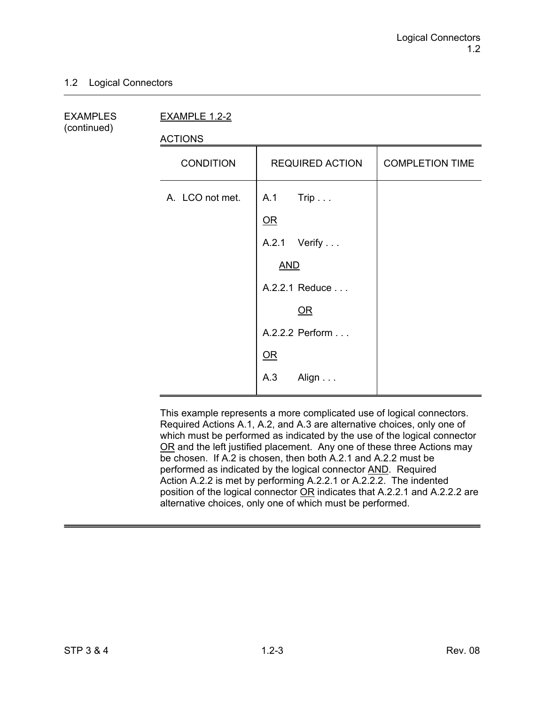## 1.2 Logical Connectors

(continued)

EXAMPLES EXAMPLE 1.2-2

ACTIONS

| <b>CONDITION</b> | <b>REQUIRED ACTION</b> | <b>COMPLETION TIME</b> |
|------------------|------------------------|------------------------|
| A. LCO not met.  | $A.1$ Trip<br>$OR$     |                        |
|                  |                        |                        |
|                  | A.2.1 Verify           |                        |
|                  | <b>AND</b>             |                        |
|                  | A.2.2.1 Reduce         |                        |
|                  | $OR$                   |                        |
|                  | A.2.2.2 Perform        |                        |
|                  | QR                     |                        |
|                  | A.3<br>Align           |                        |

This example represents a more complicated use of logical connectors. Required Actions A.1, A.2, and A.3 are alternative choices, only one of which must be performed as indicated by the use of the logical connector OR and the left justified placement. Any one of these three Actions may be chosen. If A.2 is chosen, then both A.2.1 and A.2.2 must be performed as indicated by the logical connector AND. Required Action A.2.2 is met by performing A.2.2.1 or A.2.2.2. The indented position of the logical connector OR indicates that A.2.2.1 and A.2.2.2 are alternative choices, only one of which must be performed.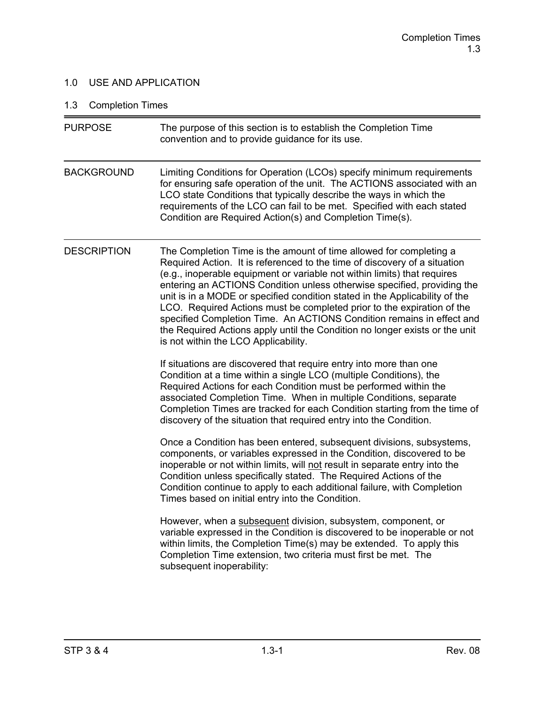## 1.0 USE AND APPLICATION

# 1.3 Completion Times

| <b>PURPOSE</b>     | The purpose of this section is to establish the Completion Time<br>convention and to provide guidance for its use.                                                                                                                                                                                                                                                                                                                                                                                                                                                                                                                                              |
|--------------------|-----------------------------------------------------------------------------------------------------------------------------------------------------------------------------------------------------------------------------------------------------------------------------------------------------------------------------------------------------------------------------------------------------------------------------------------------------------------------------------------------------------------------------------------------------------------------------------------------------------------------------------------------------------------|
| <b>BACKGROUND</b>  | Limiting Conditions for Operation (LCOs) specify minimum requirements<br>for ensuring safe operation of the unit. The ACTIONS associated with an<br>LCO state Conditions that typically describe the ways in which the<br>requirements of the LCO can fail to be met. Specified with each stated<br>Condition are Required Action(s) and Completion Time(s).                                                                                                                                                                                                                                                                                                    |
| <b>DESCRIPTION</b> | The Completion Time is the amount of time allowed for completing a<br>Required Action. It is referenced to the time of discovery of a situation<br>(e.g., inoperable equipment or variable not within limits) that requires<br>entering an ACTIONS Condition unless otherwise specified, providing the<br>unit is in a MODE or specified condition stated in the Applicability of the<br>LCO. Required Actions must be completed prior to the expiration of the<br>specified Completion Time. An ACTIONS Condition remains in effect and<br>the Required Actions apply until the Condition no longer exists or the unit<br>is not within the LCO Applicability. |
|                    | If situations are discovered that require entry into more than one<br>Condition at a time within a single LCO (multiple Conditions), the<br>Required Actions for each Condition must be performed within the<br>associated Completion Time. When in multiple Conditions, separate<br>Completion Times are tracked for each Condition starting from the time of<br>discovery of the situation that required entry into the Condition.                                                                                                                                                                                                                            |
|                    | Once a Condition has been entered, subsequent divisions, subsystems,<br>components, or variables expressed in the Condition, discovered to be<br>inoperable or not within limits, will not result in separate entry into the<br>Condition unless specifically stated. The Required Actions of the<br>Condition continue to apply to each additional failure, with Completion<br>Times based on initial entry into the Condition.                                                                                                                                                                                                                                |
|                    | However, when a subsequent division, subsystem, component, or<br>variable expressed in the Condition is discovered to be inoperable or not<br>within limits, the Completion Time(s) may be extended. To apply this<br>Completion Time extension, two criteria must first be met. The<br>subsequent inoperability:                                                                                                                                                                                                                                                                                                                                               |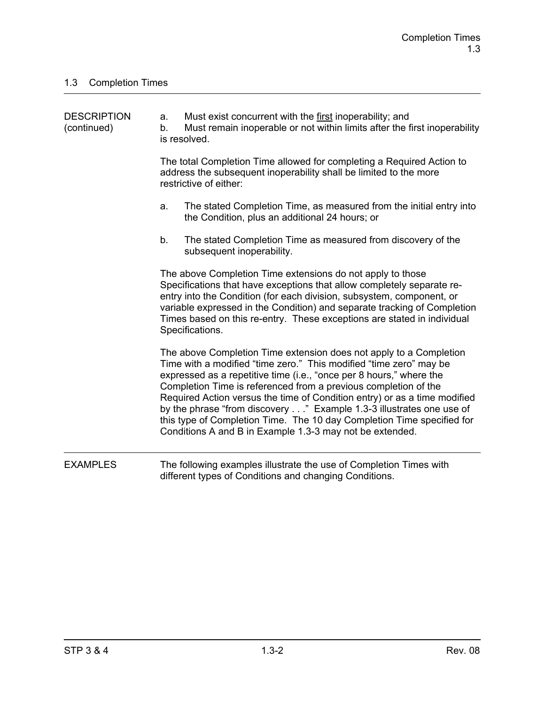| <b>DESCRIPTION</b><br>(continued) | a.<br>b. | Must exist concurrent with the first inoperability; and<br>Must remain inoperable or not within limits after the first inoperability<br>is resolved.                                                                                                                                                                                                                                                                                                                                                                                                                         |
|-----------------------------------|----------|------------------------------------------------------------------------------------------------------------------------------------------------------------------------------------------------------------------------------------------------------------------------------------------------------------------------------------------------------------------------------------------------------------------------------------------------------------------------------------------------------------------------------------------------------------------------------|
|                                   |          | The total Completion Time allowed for completing a Required Action to<br>address the subsequent inoperability shall be limited to the more<br>restrictive of either:                                                                                                                                                                                                                                                                                                                                                                                                         |
|                                   | a.       | The stated Completion Time, as measured from the initial entry into<br>the Condition, plus an additional 24 hours; or                                                                                                                                                                                                                                                                                                                                                                                                                                                        |
|                                   | b.       | The stated Completion Time as measured from discovery of the<br>subsequent inoperability.                                                                                                                                                                                                                                                                                                                                                                                                                                                                                    |
|                                   |          | The above Completion Time extensions do not apply to those<br>Specifications that have exceptions that allow completely separate re-<br>entry into the Condition (for each division, subsystem, component, or<br>variable expressed in the Condition) and separate tracking of Completion<br>Times based on this re-entry. These exceptions are stated in individual<br>Specifications.                                                                                                                                                                                      |
|                                   |          | The above Completion Time extension does not apply to a Completion<br>Time with a modified "time zero." This modified "time zero" may be<br>expressed as a repetitive time (i.e., "once per 8 hours," where the<br>Completion Time is referenced from a previous completion of the<br>Required Action versus the time of Condition entry) or as a time modified<br>by the phrase "from discovery" Example 1.3-3 illustrates one use of<br>this type of Completion Time. The 10 day Completion Time specified for<br>Conditions A and B in Example 1.3-3 may not be extended. |
| <b>EXAMPLES</b>                   |          | The following examples illustrate the use of Completion Times with<br>different types of Conditions and changing Conditions.                                                                                                                                                                                                                                                                                                                                                                                                                                                 |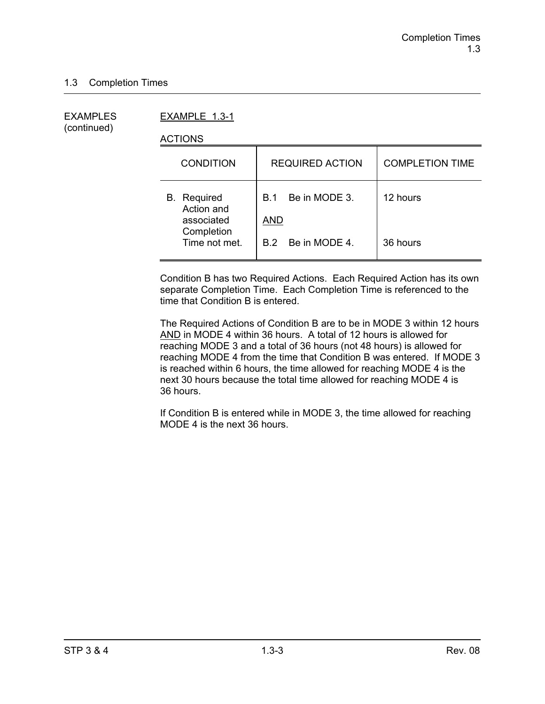(continued)

EXAMPLES EXAMPLE 1.3-1

ACTIONS

| <b>CONDITION</b>                               | <b>REQUIRED ACTION</b>             | <b>COMPLETION TIME</b> |
|------------------------------------------------|------------------------------------|------------------------|
| <b>B.</b> Required<br>Action and<br>associated | Be in MODE 3.<br>B.1<br><b>AND</b> | 12 hours               |
| Completion<br>Time not met.                    | B.2 Be in MODE 4.                  | 36 hours               |

Condition B has two Required Actions. Each Required Action has its own separate Completion Time. Each Completion Time is referenced to the time that Condition B is entered.

The Required Actions of Condition B are to be in MODE 3 within 12 hours AND in MODE 4 within 36 hours. A total of 12 hours is allowed for reaching MODE 3 and a total of 36 hours (not 48 hours) is allowed for reaching MODE 4 from the time that Condition B was entered. If MODE 3 is reached within 6 hours, the time allowed for reaching MODE 4 is the next 30 hours because the total time allowed for reaching MODE 4 is 36 hours.

If Condition B is entered while in MODE 3, the time allowed for reaching MODE 4 is the next 36 hours.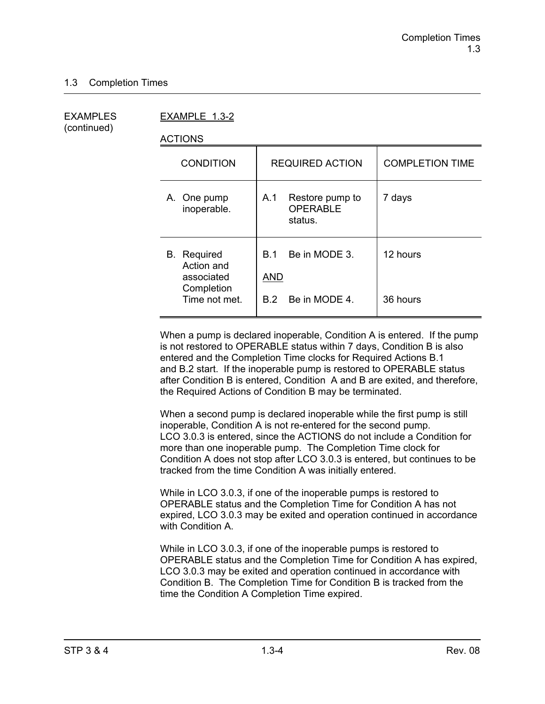(continued)

EXAMPLES EXAMPLE 1.3-2

ACTIONS

| <b>REQUIRED ACTION</b>                                     | <b>COMPLETION TIME</b> |
|------------------------------------------------------------|------------------------|
| Restore pump to<br>A.1<br><b>OPERABLE</b><br>status.       | 7 days                 |
| Be in MODE 3.<br>B 1<br><b>AND</b><br>Be in MODE 4.<br>B.2 | 12 hours<br>36 hours   |
|                                                            |                        |

When a pump is declared inoperable, Condition A is entered. If the pump is not restored to OPERABLE status within 7 days, Condition B is also entered and the Completion Time clocks for Required Actions B.1 and B.2 start. If the inoperable pump is restored to OPERABLE status after Condition B is entered, Condition A and B are exited, and therefore, the Required Actions of Condition B may be terminated.

When a second pump is declared inoperable while the first pump is still inoperable, Condition A is not re-entered for the second pump. LCO 3.0.3 is entered, since the ACTIONS do not include a Condition for more than one inoperable pump. The Completion Time clock for Condition A does not stop after LCO 3.0.3 is entered, but continues to be tracked from the time Condition A was initially entered.

While in LCO 3.0.3, if one of the inoperable pumps is restored to OPERABLE status and the Completion Time for Condition A has not expired, LCO 3.0.3 may be exited and operation continued in accordance with Condition A.

While in LCO 3.0.3, if one of the inoperable pumps is restored to OPERABLE status and the Completion Time for Condition A has expired, LCO 3.0.3 may be exited and operation continued in accordance with Condition B. The Completion Time for Condition B is tracked from the time the Condition A Completion Time expired.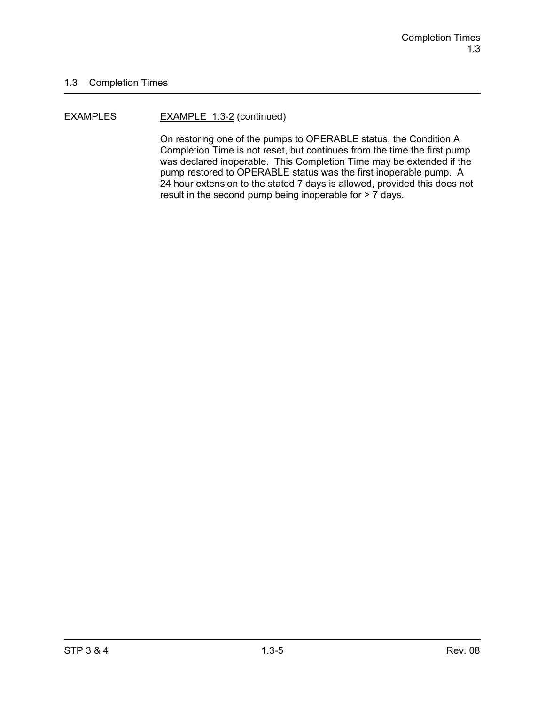#### EXAMPLES EXAMPLE 1.3-2 (continued)

On restoring one of the pumps to OPERABLE status, the Condition A Completion Time is not reset, but continues from the time the first pump was declared inoperable. This Completion Time may be extended if the pump restored to OPERABLE status was the first inoperable pump. A 24 hour extension to the stated 7 days is allowed, provided this does not result in the second pump being inoperable for > 7 days.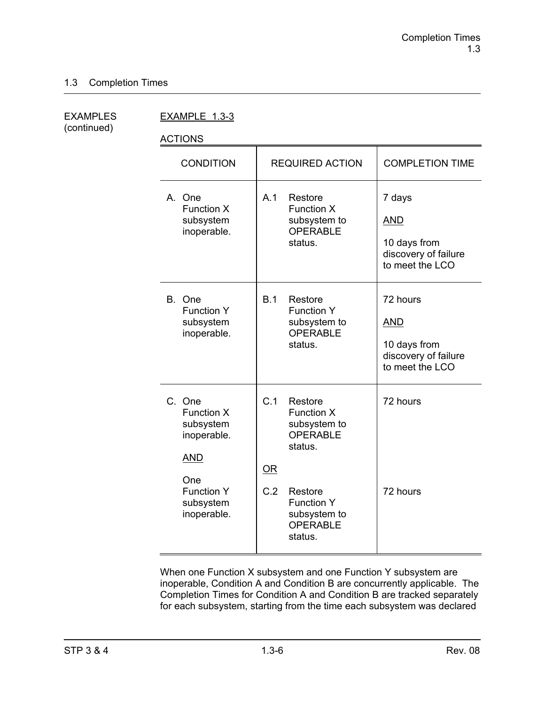(continued)

EXAMPLES EXAMPLE 1.3-3

ACTIONS

| <b>CONDITION</b>                                                                                                              | <b>REQUIRED ACTION</b>                                                                                                                                         | <b>COMPLETION TIME</b>                                                            |
|-------------------------------------------------------------------------------------------------------------------------------|----------------------------------------------------------------------------------------------------------------------------------------------------------------|-----------------------------------------------------------------------------------|
| A. One<br><b>Function X</b><br>subsystem<br>inoperable.                                                                       | A.1<br>Restore<br><b>Function X</b><br>subsystem to<br><b>OPERABLE</b><br>status.                                                                              | 7 days<br><b>AND</b><br>10 days from<br>discovery of failure<br>to meet the LCO   |
| B. One<br><b>Function Y</b><br>subsystem<br>inoperable.                                                                       | B.1<br>Restore<br><b>Function Y</b><br>subsystem to<br><b>OPERABLE</b><br>status.                                                                              | 72 hours<br><b>AND</b><br>10 days from<br>discovery of failure<br>to meet the LCO |
| C. One<br><b>Function X</b><br>subsystem<br>inoperable.<br><b>AND</b><br>One<br><b>Function Y</b><br>subsystem<br>inoperable. | C.1<br>Restore<br>Function X<br>subsystem to<br>OPERABLE<br>status.<br>OR<br>C.2<br>Restore<br><b>Function Y</b><br>subsystem to<br><b>OPERABLE</b><br>status. | 72 hours<br>72 hours                                                              |

When one Function X subsystem and one Function Y subsystem are inoperable, Condition A and Condition B are concurrently applicable. The Completion Times for Condition A and Condition B are tracked separately for each subsystem, starting from the time each subsystem was declared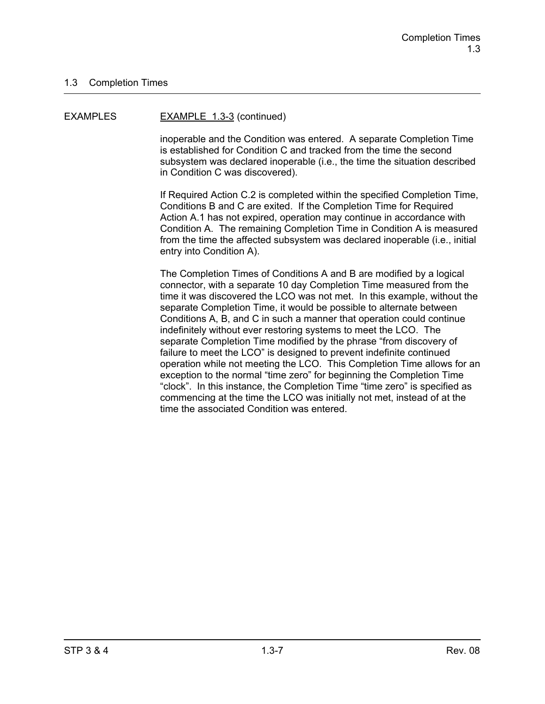#### EXAMPLES EXAMPLE 1.3-3 (continued)

inoperable and the Condition was entered. A separate Completion Time is established for Condition C and tracked from the time the second subsystem was declared inoperable (i.e., the time the situation described in Condition C was discovered).

If Required Action C.2 is completed within the specified Completion Time, Conditions B and C are exited. If the Completion Time for Required Action A.1 has not expired, operation may continue in accordance with Condition A. The remaining Completion Time in Condition A is measured from the time the affected subsystem was declared inoperable (i.e., initial entry into Condition A).

The Completion Times of Conditions A and B are modified by a logical connector, with a separate 10 day Completion Time measured from the time it was discovered the LCO was not met. In this example, without the separate Completion Time, it would be possible to alternate between Conditions A, B, and C in such a manner that operation could continue indefinitely without ever restoring systems to meet the LCO. The separate Completion Time modified by the phrase "from discovery of failure to meet the LCO" is designed to prevent indefinite continued operation while not meeting the LCO. This Completion Time allows for an exception to the normal "time zero" for beginning the Completion Time "clock". In this instance, the Completion Time "time zero" is specified as commencing at the time the LCO was initially not met, instead of at the time the associated Condition was entered.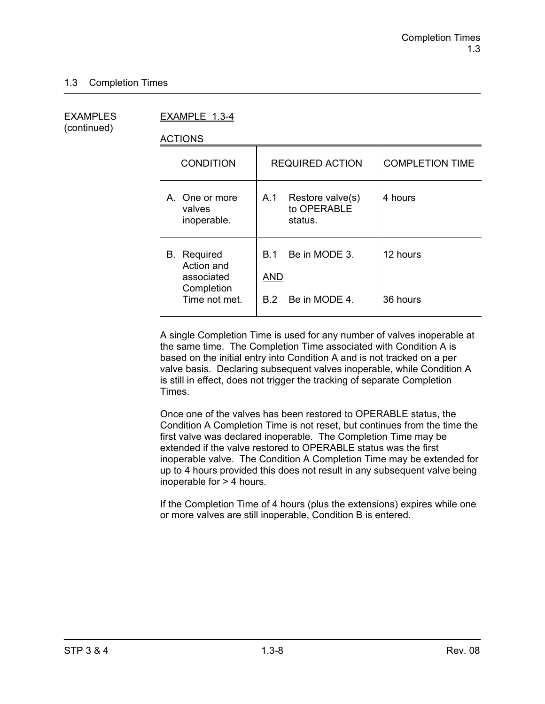(continued)

EXAMPLES EXAMPLE 1.3-4

ACTIONS

| <b>CONDITION</b>                                                              | <b>REQUIRED ACTION</b>                                     | <b>COMPLETION TIME</b> |
|-------------------------------------------------------------------------------|------------------------------------------------------------|------------------------|
| A. One or more<br>valves<br>inoperable.                                       | Restore valve(s)<br>A.1<br>to OPERABLE<br>status.          | 4 hours                |
| <b>B.</b> Required<br>Action and<br>associated<br>Completion<br>Time not met. | Be in MODE 3.<br><b>B</b> 1<br>AND<br>Be in MODE 4.<br>B 2 | 12 hours<br>36 hours   |
|                                                                               |                                                            |                        |

A single Completion Time is used for any number of valves inoperable at the same time. The Completion Time associated with Condition A is based on the initial entry into Condition A and is not tracked on a per valve basis. Declaring subsequent valves inoperable, while Condition A is still in effect, does not trigger the tracking of separate Completion Times.

Once one of the valves has been restored to OPERABLE status, the Condition A Completion Time is not reset, but continues from the time the first valve was declared inoperable. The Completion Time may be extended if the valve restored to OPERABLE status was the first inoperable valve. The Condition A Completion Time may be extended for up to 4 hours provided this does not result in any subsequent valve being inoperable for > 4 hours.

If the Completion Time of 4 hours (plus the extensions) expires while one or more valves are still inoperable, Condition B is entered.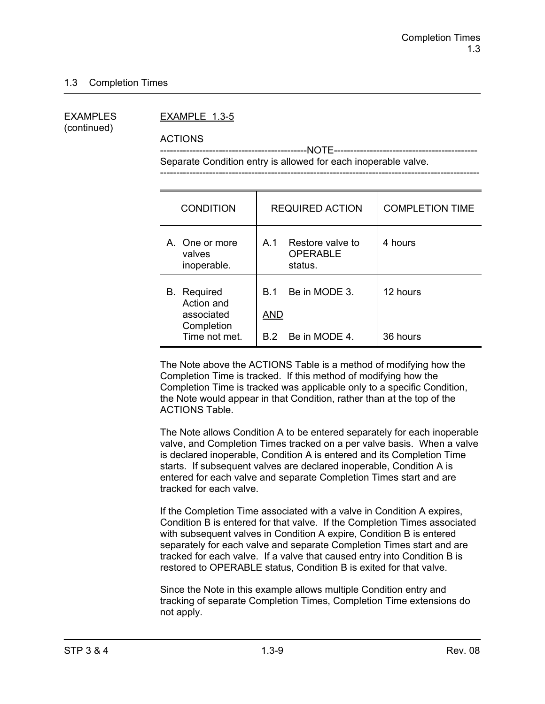(continued)

#### EXAMPLES EXAMPLE 1.3-5

ACTIONS

 ---------------------------------------------NOTE-------------------------------------------- Separate Condition entry is allowed for each inoperable valve.

| <b>CONDITION</b>                                                              | <b>REQUIRED ACTION</b>                                         | <b>COMPLETION TIME</b> |
|-------------------------------------------------------------------------------|----------------------------------------------------------------|------------------------|
| A. One or more<br>valves<br>inoperable.                                       | Restore valve to<br>A.1<br><b>OPERABLE</b><br>status.          | 4 hours                |
| <b>B.</b> Required<br>Action and<br>associated<br>Completion<br>Time not met. | Be in MODE 3.<br><b>B</b> 1<br><b>AND</b><br>B.2 Be in MODE 4. | 12 hours<br>36 hours   |

The Note above the ACTIONS Table is a method of modifying how the Completion Time is tracked. If this method of modifying how the Completion Time is tracked was applicable only to a specific Condition, the Note would appear in that Condition, rather than at the top of the ACTIONS Table.

The Note allows Condition A to be entered separately for each inoperable valve, and Completion Times tracked on a per valve basis. When a valve is declared inoperable, Condition A is entered and its Completion Time starts. If subsequent valves are declared inoperable, Condition A is entered for each valve and separate Completion Times start and are tracked for each valve.

If the Completion Time associated with a valve in Condition A expires, Condition B is entered for that valve. If the Completion Times associated with subsequent valves in Condition A expire, Condition B is entered separately for each valve and separate Completion Times start and are tracked for each valve. If a valve that caused entry into Condition B is restored to OPERABLE status, Condition B is exited for that valve.

Since the Note in this example allows multiple Condition entry and tracking of separate Completion Times, Completion Time extensions do not apply.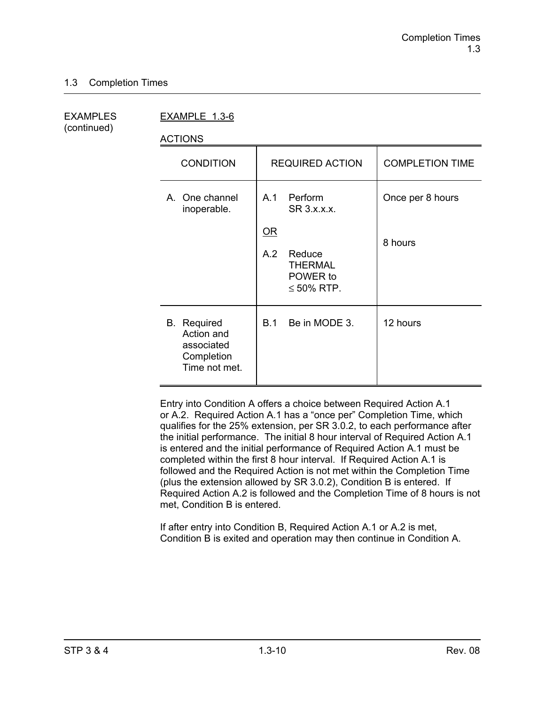(continued)

EXAMPLES EXAMPLE 1.3-6

ACTIONS

| <b>CONDITION</b>                                                              | <b>REQUIRED ACTION</b>                                                                                                        | <b>COMPLETION TIME</b>      |
|-------------------------------------------------------------------------------|-------------------------------------------------------------------------------------------------------------------------------|-----------------------------|
| A. One channel<br>inoperable.                                                 | Perform<br>A.1<br>SR 3.x.x.x.<br>$\underline{\mathsf{OR}}$<br>A.2<br>Reduce<br><b>THERMAL</b><br>POWER to<br>$\leq 50\%$ RTP. | Once per 8 hours<br>8 hours |
| <b>B.</b> Required<br>Action and<br>associated<br>Completion<br>Time not met. | Be in MODE 3.<br>B.1                                                                                                          | 12 hours                    |

Entry into Condition A offers a choice between Required Action A.1 or A.2. Required Action A.1 has a "once per" Completion Time, which qualifies for the 25% extension, per SR 3.0.2, to each performance after the initial performance. The initial 8 hour interval of Required Action A.1 is entered and the initial performance of Required Action A.1 must be completed within the first 8 hour interval. If Required Action A.1 is followed and the Required Action is not met within the Completion Time (plus the extension allowed by SR 3.0.2), Condition B is entered. If Required Action A.2 is followed and the Completion Time of 8 hours is not met, Condition B is entered.

If after entry into Condition B, Required Action A.1 or A.2 is met, Condition B is exited and operation may then continue in Condition A.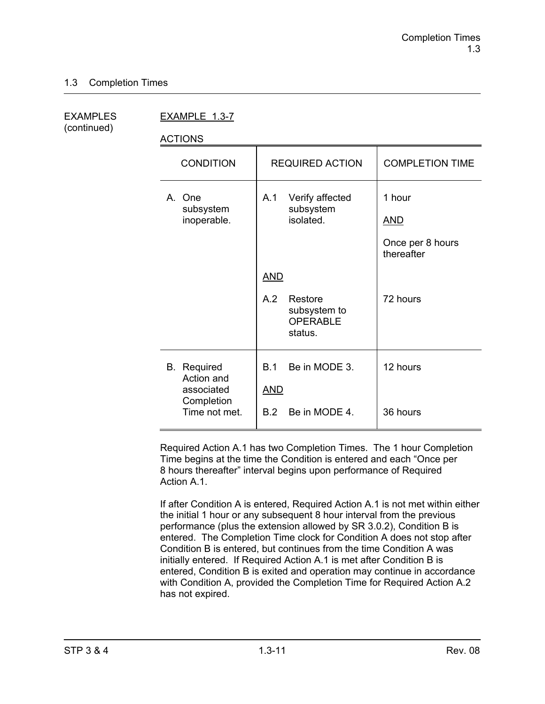(continued)

EXAMPLES EXAMPLE 1.3-7

ACTIONS

| <b>CONDITION</b>                                                              | <b>REQUIRED ACTION</b>                                                     | <b>COMPLETION TIME</b>                                 |
|-------------------------------------------------------------------------------|----------------------------------------------------------------------------|--------------------------------------------------------|
| A. One<br>subsystem<br>inoperable.                                            | Verify affected<br>A.1<br>subsystem<br>isolated.                           | 1 hour<br><b>AND</b><br>Once per 8 hours<br>thereafter |
|                                                                               | <u>AND</u><br>A.2<br>Restore<br>subsystem to<br><b>OPERABLE</b><br>status. | 72 hours                                               |
| <b>B.</b> Required<br>Action and<br>associated<br>Completion<br>Time not met. | Be in MODE 3.<br><b>B.1</b><br><b>AND</b><br>Be in MODE 4.<br>B.2          | 12 hours<br>36 hours                                   |

Required Action A.1 has two Completion Times. The 1 hour Completion Time begins at the time the Condition is entered and each "Once per 8 hours thereafter" interval begins upon performance of Required Action A<sub>1</sub>

If after Condition A is entered, Required Action A.1 is not met within either the initial 1 hour or any subsequent 8 hour interval from the previous performance (plus the extension allowed by SR 3.0.2), Condition B is entered. The Completion Time clock for Condition A does not stop after Condition B is entered, but continues from the time Condition A was initially entered. If Required Action A.1 is met after Condition B is entered, Condition B is exited and operation may continue in accordance with Condition A, provided the Completion Time for Required Action A.2 has not expired.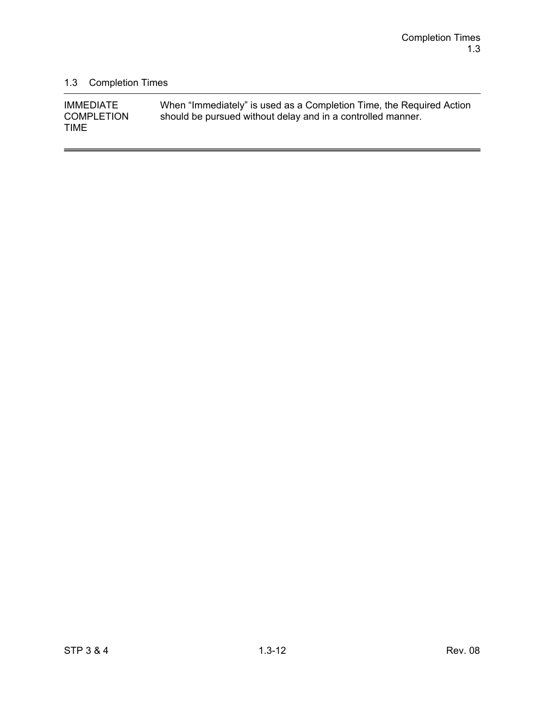-

# 1.3 Completion Times

| <b>IMMEDIATE</b>                 | When "Immediately" is used as a Completion Time, the Required Action |
|----------------------------------|----------------------------------------------------------------------|
| <b>COMPLETION</b><br><b>TIME</b> | should be pursued without delay and in a controlled manner.          |
|                                  |                                                                      |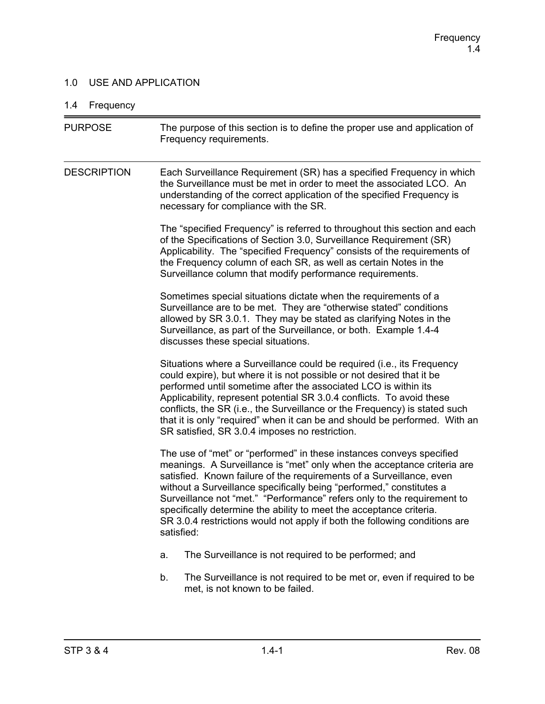## 1.0 USE AND APPLICATION

# 1.4 Frequency

| <b>PURPOSE</b>     | The purpose of this section is to define the proper use and application of<br>Frequency requirements.                                                                                                                                                                                                                                                                                                                                                                                                                                         |
|--------------------|-----------------------------------------------------------------------------------------------------------------------------------------------------------------------------------------------------------------------------------------------------------------------------------------------------------------------------------------------------------------------------------------------------------------------------------------------------------------------------------------------------------------------------------------------|
| <b>DESCRIPTION</b> | Each Surveillance Requirement (SR) has a specified Frequency in which<br>the Surveillance must be met in order to meet the associated LCO. An<br>understanding of the correct application of the specified Frequency is<br>necessary for compliance with the SR.                                                                                                                                                                                                                                                                              |
|                    | The "specified Frequency" is referred to throughout this section and each<br>of the Specifications of Section 3.0, Surveillance Requirement (SR)<br>Applicability. The "specified Frequency" consists of the requirements of<br>the Frequency column of each SR, as well as certain Notes in the<br>Surveillance column that modify performance requirements.                                                                                                                                                                                 |
|                    | Sometimes special situations dictate when the requirements of a<br>Surveillance are to be met. They are "otherwise stated" conditions<br>allowed by SR 3.0.1. They may be stated as clarifying Notes in the<br>Surveillance, as part of the Surveillance, or both. Example 1.4-4<br>discusses these special situations.                                                                                                                                                                                                                       |
|                    | Situations where a Surveillance could be required (i.e., its Frequency<br>could expire), but where it is not possible or not desired that it be<br>performed until sometime after the associated LCO is within its<br>Applicability, represent potential SR 3.0.4 conflicts. To avoid these<br>conflicts, the SR (i.e., the Surveillance or the Frequency) is stated such<br>that it is only "required" when it can be and should be performed. With an<br>SR satisfied, SR 3.0.4 imposes no restriction.                                     |
|                    | The use of "met" or "performed" in these instances conveys specified<br>meanings. A Surveillance is "met" only when the acceptance criteria are<br>satisfied. Known failure of the requirements of a Surveillance, even<br>without a Surveillance specifically being "performed," constitutes a<br>Surveillance not "met." "Performance" refers only to the requirement to<br>specifically determine the ability to meet the acceptance criteria.<br>SR 3.0.4 restrictions would not apply if both the following conditions are<br>satisfied: |
|                    | The Surveillance is not required to be performed; and<br>a.                                                                                                                                                                                                                                                                                                                                                                                                                                                                                   |
|                    | The Surveillance is not required to be met or, even if required to be<br>b.<br>met, is not known to be failed.                                                                                                                                                                                                                                                                                                                                                                                                                                |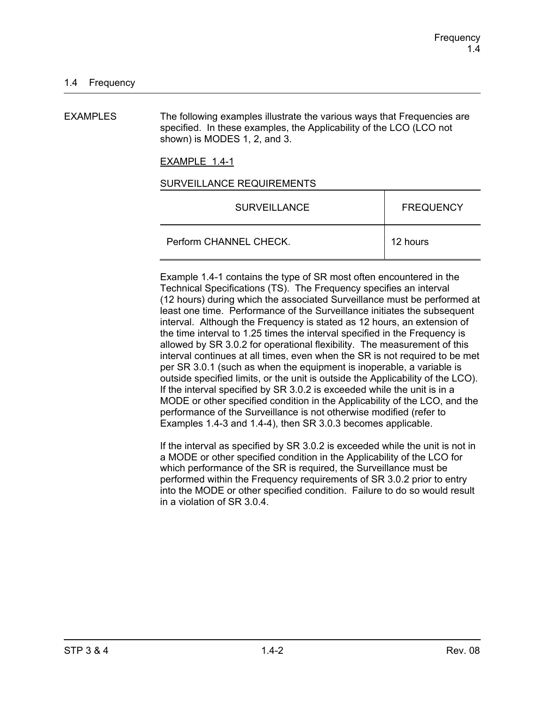EXAMPLES The following examples illustrate the various ways that Frequencies are specified. In these examples, the Applicability of the LCO (LCO not shown) is MODES 1, 2, and 3.

EXAMPLE 1.4-1

#### SURVEILLANCE REQUIREMENTS

| <b>SURVEILLANCE</b>    | <b>FREQUENCY</b> |
|------------------------|------------------|
| Perform CHANNEL CHECK. | 12 hours         |

Example 1.4-1 contains the type of SR most often encountered in the Technical Specifications (TS). The Frequency specifies an interval (12 hours) during which the associated Surveillance must be performed at least one time. Performance of the Surveillance initiates the subsequent interval. Although the Frequency is stated as 12 hours, an extension of the time interval to 1.25 times the interval specified in the Frequency is allowed by SR 3.0.2 for operational flexibility. The measurement of this interval continues at all times, even when the SR is not required to be met per SR 3.0.1 (such as when the equipment is inoperable, a variable is outside specified limits, or the unit is outside the Applicability of the LCO). If the interval specified by SR 3.0.2 is exceeded while the unit is in a MODE or other specified condition in the Applicability of the LCO, and the performance of the Surveillance is not otherwise modified (refer to Examples 1.4-3 and 1.4-4), then SR 3.0.3 becomes applicable.

If the interval as specified by SR 3.0.2 is exceeded while the unit is not in a MODE or other specified condition in the Applicability of the LCO for which performance of the SR is required, the Surveillance must be performed within the Frequency requirements of SR 3.0.2 prior to entry into the MODE or other specified condition. Failure to do so would result in a violation of SR 3.0.4.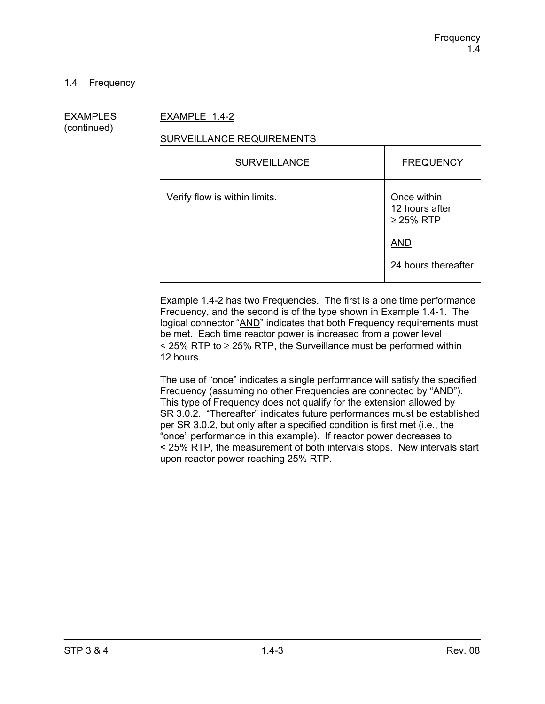## EXAMPLES EXAMPLE 1.4-2

(continued)

## SURVEILLANCE REQUIREMENTS

| <b>FREQUENCY</b>                                |
|-------------------------------------------------|
| Once within<br>12 hours after<br>$\geq$ 25% RTP |
| <b>AND</b>                                      |
| 24 hours thereafter                             |
|                                                 |

Example 1.4-2 has two Frequencies. The first is a one time performance Frequency, and the second is of the type shown in Example 1.4-1. The logical connector "AND" indicates that both Frequency requirements must be met. Each time reactor power is increased from a power level  $\le$  25% RTP to  $\ge$  25% RTP, the Surveillance must be performed within 12 hours.

The use of "once" indicates a single performance will satisfy the specified Frequency (assuming no other Frequencies are connected by "AND"). This type of Frequency does not qualify for the extension allowed by SR 3.0.2. "Thereafter" indicates future performances must be established per SR 3.0.2, but only after a specified condition is first met (i.e., the "once" performance in this example). If reactor power decreases to < 25% RTP, the measurement of both intervals stops. New intervals start upon reactor power reaching 25% RTP.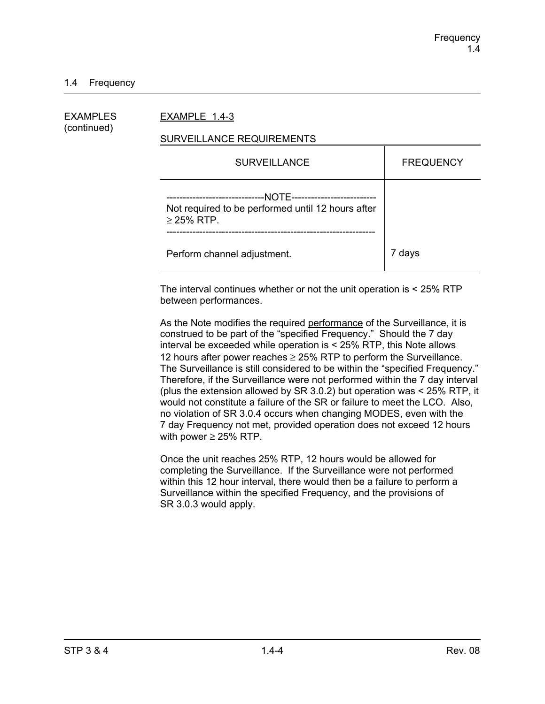## 1.4 Frequency

| EXAMPLES<br>(continued) | EXAMPLE 1.4-3                                                                                                                           |                  |  |  |
|-------------------------|-----------------------------------------------------------------------------------------------------------------------------------------|------------------|--|--|
|                         | SURVEILLANCE REQUIREMENTS                                                                                                               |                  |  |  |
|                         | <b>SURVEILLANCE</b>                                                                                                                     | <b>FREQUENCY</b> |  |  |
|                         | --NOTE---------------------------<br>--------------------------<br>Not required to be performed until 12 hours after<br>$\geq$ 25% RTP. |                  |  |  |
|                         | Perform channel adjustment.                                                                                                             | 7 days           |  |  |

The interval continues whether or not the unit operation is < 25% RTP between performances.

As the Note modifies the required performance of the Surveillance, it is construed to be part of the "specified Frequency." Should the 7 day interval be exceeded while operation is < 25% RTP, this Note allows 12 hours after power reaches  $\geq$  25% RTP to perform the Surveillance. The Surveillance is still considered to be within the "specified Frequency." Therefore, if the Surveillance were not performed within the 7 day interval (plus the extension allowed by SR 3.0.2) but operation was < 25% RTP, it would not constitute a failure of the SR or failure to meet the LCO. Also, no violation of SR 3.0.4 occurs when changing MODES, even with the 7 day Frequency not met, provided operation does not exceed 12 hours with power  $\geq$  25% RTP.

Once the unit reaches 25% RTP, 12 hours would be allowed for completing the Surveillance. If the Surveillance were not performed within this 12 hour interval, there would then be a failure to perform a Surveillance within the specified Frequency, and the provisions of SR 3.0.3 would apply.